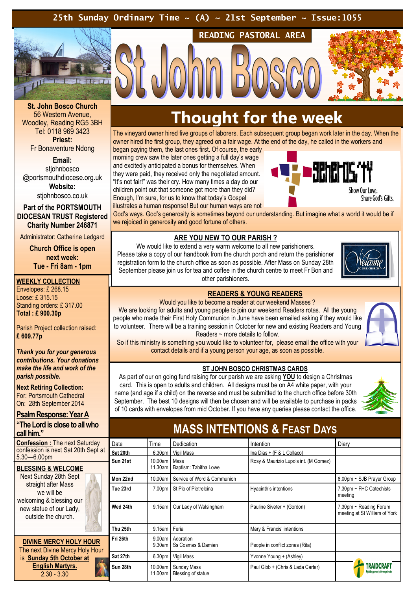### 25th Sunday Ordinary Time  $\sim$  (A)  $\sim$  21st September  $\sim$  Issue:1055



St. John Bosco Church 56 Western Avenue, Woodley, Reading RG5 3BH Tel: 0118 969 3423 Priest: Fr Bonaventure Ndong

Email: stiohnbosco @portsmouthdiocese.org.uk Website:

stjohnbosco.co.uk

Part of the PORTSMOUTH DIOCESAN TRUST Registered Charity Number 246871

Administrator: Catherine Ledgard

Church Office is open next week: Tue - Fri 8am - 1pm

WEEKLY COLLECTION

Envelopes: £ 268.15 Loose: £ 315.15 Standing orders: £ 317.00 Total : £ 900.30p

Parish Project collection raised: £ 609.77p

Thank you for your generous contributions. Your donations make the life and work of the parish possible.

Next Retiring Collection: For: Portsmouth Cathedral On: 28th September 2014

Psalm Response: Year A "The Lord is close to all who call him."

Confession : The next Saturday confession is next Sat 20th Sept at 5.30—6.00pm

### BLESSING & WELCOME

Next Sunday 28th Sept straight after Mass we will be welcoming & blessing our new statue of our Lady, outside the church.

DIVINE MERCY HOLY HOUR The next Divine Mercy Holy Hour is Sunday 5th October at English Martyrs. 2.30 - 3.30

### Thought for the week

READING PASTORAL AREA

The vineyard owner hired five groups of laborers. Each subsequent group began work later in the day. When the owner hired the first group, they agreed on a fair wage. At the end of the day, he called in the workers and

began paying them, the last ones first. Of course, the early morning crew saw the later ones getting a full day's wage and excitedly anticipated a bonus for themselves. When they were paid, they received only the negotiated amount. "It's not fair!" was their cry. How many times a day do our children point out that someone got more than they did? Enough, I'm sure, for us to know that today's Gospel illustrates a human response! But our human ways are not



God's ways. God's generosity is sometimes beyond our understanding. But imagine what a world it would be if we rejoiced in generosity and good fortune of others.

### ARE YOU NEW TO OUR PARISH ?

We would like to extend a very warm welcome to all new parishioners. Please take a copy of our handbook from the church porch and return the parishioner registration form to the church office as soon as possible. After Mass on Sunday 28th September please join us for tea and coffee in the church centre to meet Fr Bon and other parishioners.



### READERS & YOUNG READERS

Would you like to become a reader at our weekend Masses ?

We are looking for adults and young people to join our weekend Readers rotas. All the young people who made their First Holy Communion in June have been emailed asking if they would like to volunteer. There will be a training session in October for new and existing Readers and Young Readers  $\sim$  more details to follow. So if this ministry is something you would like to volunteer for, please email the office with your

contact details and if a young person your age, as soon as possible.

### ST JOHN BOSCO CHRISTMAS CARDS

As part of our on going fund raising for our parish we are asking YOU to design a Christmas card. This is open to adults and children. All designs must be on A4 white paper, with your name (and age if a child) on the reverse and must be submitted to the church office before 30th September. The best 10 designs will then be chosen and will be available to purchase in packs of 10 cards with envelopes from mid October. If you have any queries please contact the office.



### MASS INTENTIONS & FEAST DAYS

| Date     | Time                         | Dedication                        | Intention                             | Diary                                                   |
|----------|------------------------------|-----------------------------------|---------------------------------------|---------------------------------------------------------|
| Sat 20th | 6.30 <sub>pm</sub>           | Vigil Mass                        | Ina Dias $+$ (F & L Collaco)          |                                                         |
| Sun 21st | 10.00am<br>11.30am           | Mass<br>Baptism: Tabitha Lowe     | Rosy & Maurizio Lupo's int. (M Gomez) |                                                         |
| Mon 22nd | 10.00am                      | Service of Word & Communion       |                                       | 8.00pm ~ SJB Prayer Group                               |
| Tue 23rd | 7.00pm                       | St Pio of Pietrelcina             | Hyacinth's intentions                 | 7.30pm ~ FHC Catechists<br>meeting                      |
| Wed 24th | 9.15am                       | Our Lady of Walsingham            | Pauline Siveter + (Gordon)            | 7.30pm ~ Reading Forum<br>meeting at St William of York |
| Thu 25th | 9.15am   Feria               |                                   | Mary & Francis' intentions            |                                                         |
| Fri 26th | 9.00am<br>9.30 <sub>am</sub> | Adoration<br>Ss Cosmas & Damian   | People in conflict zones (Rita)       |                                                         |
| Sat 27th | 6.30pm                       | Vigil Mass                        | Yvonne Young + (Ashley)               |                                                         |
| Sun 28th | 10.00am<br>11.00am           | Sunday Mass<br>Blessing of statue | Paul Gibb + (Chris & Lada Carter)     |                                                         |